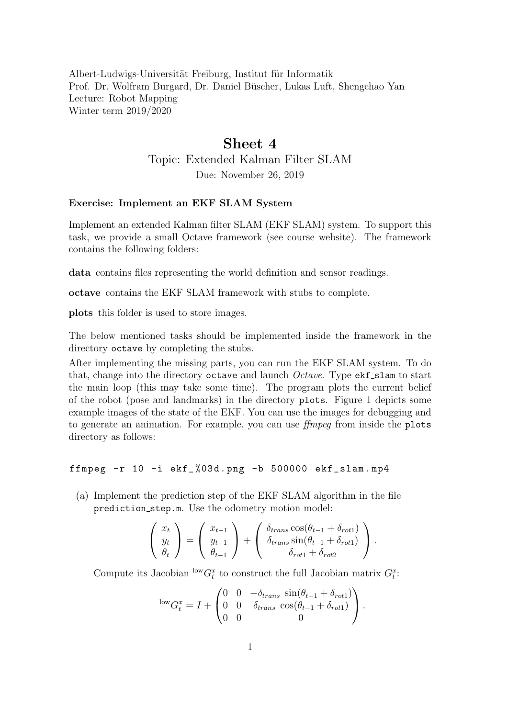Albert-Ludwigs-Universität Freiburg, Institut für Informatik Prof. Dr. Wolfram Burgard, Dr. Daniel Büscher, Lukas Luft, Shengchao Yan Lecture: Robot Mapping Winter term 2019/2020

## Sheet 4

Topic: Extended Kalman Filter SLAM

Due: November 26, 2019

## Exercise: Implement an EKF SLAM System

Implement an extended Kalman filter SLAM (EKF SLAM) system. To support this task, we provide a small Octave framework (see course website). The framework contains the following folders:

data contains files representing the world definition and sensor readings.

octave contains the EKF SLAM framework with stubs to complete.

plots this folder is used to store images.

The below mentioned tasks should be implemented inside the framework in the directory octave by completing the stubs.

After implementing the missing parts, you can run the EKF SLAM system. To do that, change into the directory octave and launch  $Octave$ . Type  $ekf$  slam to start the main loop (this may take some time). The program plots the current belief of the robot (pose and landmarks) in the directory plots. Figure [1](#page-1-0) depicts some example images of the state of the EKF. You can use the images for debugging and to generate an animation. For example, you can use ffmpeg from inside the plots directory as follows:

ffmpeg -r 10 -i ekf\_ %03 d . png -b 500000 ekf\_slam . mp4

(a) Implement the prediction step of the EKF SLAM algorithm in the file prediction step.m. Use the odometry motion model:

$$
\begin{pmatrix} x_t \\ y_t \\ \theta_t \end{pmatrix} = \begin{pmatrix} x_{t-1} \\ y_{t-1} \\ \theta_{t-1} \end{pmatrix} + \begin{pmatrix} \delta_{trans} \cos(\theta_{t-1} + \delta_{rot1}) \\ \delta_{trans} \sin(\theta_{t-1} + \delta_{rot1}) \\ \delta_{rot1} + \delta_{rot2} \end{pmatrix}.
$$

Compute its Jacobian  $\frac{\text{low}}{G_t^x}$  to construct the full Jacobian matrix  $G_t^x$ :

$$
\begin{aligned}\n\text{low}_{G_t}^x &= I + \begin{pmatrix} 0 & 0 & -\delta_{trans} \sin(\theta_{t-1} + \delta_{rot1}) \\
0 & 0 & \delta_{trans} \cos(\theta_{t-1} + \delta_{rot1}) \\
0 & 0 & 0\n\end{pmatrix}.\n\end{aligned}
$$